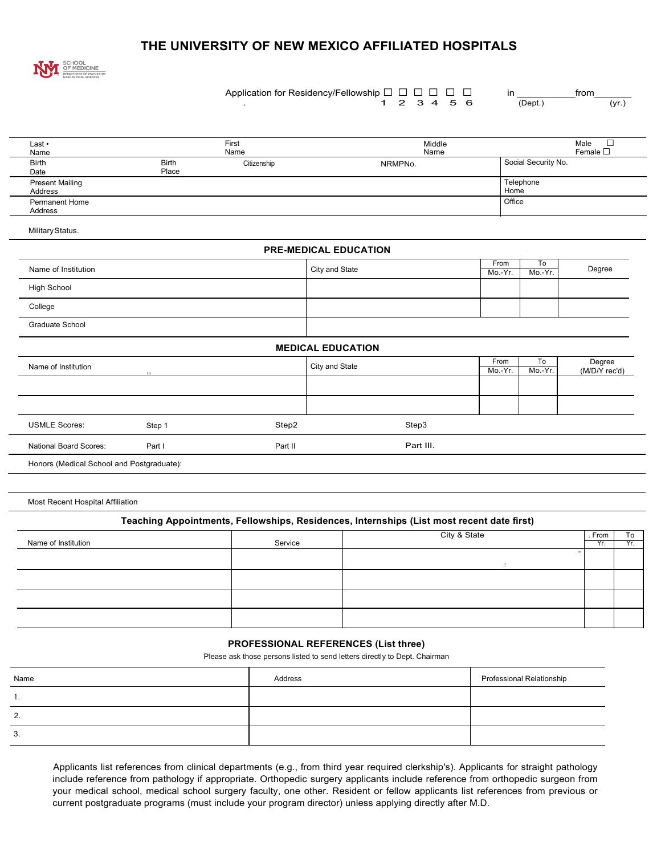## **THE UNIVERSITY OF NEW MEXICO AFFILIATED HOSPITALS**



Application for Residency/Fellowship  $\Box$   $\Box$   $\Box$   $\Box$   $\Box$ 1 2 3 4 5 6

| in |          | trom |       |
|----|----------|------|-------|
|    | (Depth.) |      | (yr.) |

| Last •<br>Name                            |                       | First<br>Name | Middle<br>Name               |                 |                     | $\Box$<br>Male<br>Female $\Box$ |
|-------------------------------------------|-----------------------|---------------|------------------------------|-----------------|---------------------|---------------------------------|
| <b>Birth</b><br>Date                      | <b>Birth</b><br>Place | Citizenship   | NRMPNo.                      |                 | Social Security No. |                                 |
| <b>Present Mailing</b><br>Address         |                       |               |                              | Home            | Telephone           |                                 |
| Permanent Home<br>Address                 |                       |               |                              | Office          |                     |                                 |
| Military Status.                          |                       |               |                              |                 |                     |                                 |
|                                           |                       |               | <b>PRE-MEDICAL EDUCATION</b> |                 |                     |                                 |
| Name of Institution                       |                       |               | City and State               | From<br>Mo.-Yr. | To<br>Mo.-Yr.       | Degree                          |
| <b>High School</b>                        |                       |               |                              |                 |                     |                                 |
| College                                   |                       |               |                              |                 |                     |                                 |
| <b>Graduate School</b>                    |                       |               |                              |                 |                     |                                 |
|                                           |                       |               | <b>MEDICAL EDUCATION</b>     |                 |                     |                                 |
| Name of Institution                       | , ,                   |               | City and State               | From<br>Mo.-Yr. | To<br>Mo.-Yr.       | Degree<br>(M/D/Y rec'd)         |
|                                           |                       |               |                              |                 |                     |                                 |
|                                           |                       |               |                              |                 |                     |                                 |
| <b>USMLE Scores:</b>                      | Step 1                | Step2         | Step3                        |                 |                     |                                 |
| National Board Scores:                    | Part I                | Part II       | Part III.                    |                 |                     |                                 |
| Honors (Medical School and Postgraduate): |                       |               |                              |                 |                     |                                 |
|                                           |                       |               |                              |                 |                     |                                 |

Most Recent Hospital Affiliation

## **Teaching Appointments, Fellowships, Residences, Internships (List most recent date first)**

| Name of Institution | Service | City & State | . From<br>Yr. | To  |
|---------------------|---------|--------------|---------------|-----|
|                     |         |              |               | Yr. |
|                     |         |              |               |     |
|                     |         |              |               |     |
|                     |         |              |               |     |
|                     |         |              |               |     |

## **PROFESSIONAL REFERENCES (List three)**

Please ask those persons listed to send letters directly to Dept. Chairman

| Name | Address | Professional Relationship |
|------|---------|---------------------------|
| . .  |         |                           |
| 2.   |         |                           |
| 3.   |         |                           |

Applicants list references from clinical departments (e.g., from third year required clerkship's). Applicants for straight pathology include reference from pathology if appropriate. Orthopedic surgery applicants include reference from orthopedic surgeon from your medical school, medical school surgery faculty, one other. Resident or fellow applicants list references from previous or current postgraduate programs (must include your program director) unless applying directly after M.D.